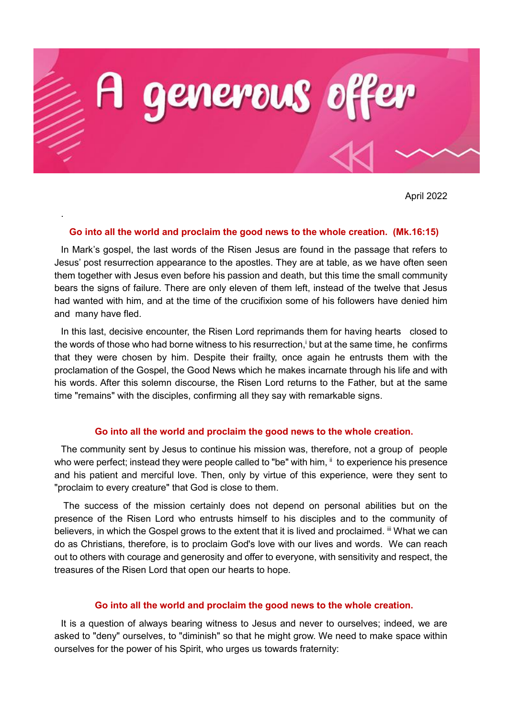

April 2022

## **Go into all the world and proclaim the good news to the whole creation. (Mk.16:15)**

.

In Mark's gospel, the last words of the Risen Jesus are found in the passage that refers to Jesus' post resurrection appearance to the apostles. They are at table, as we have often seen them together with Jesus even before his passion and death, but this time the small community bears the signs of failure. There are only eleven of them left, instead of the twelve that Jesus had wanted with him, and at the time of the crucifixion some of his followers have denied him and many have fled.

In this last, decisive encounter, the Risen Lord reprimands them for having hearts closed to the words of those who had borne witness to his resurrection,<sup>i</sup> but at the same time, he confirms that they were chosen by him. Despite their frailty, once again he entrusts them with the proclamation of the Gospel, the Good News which he makes incarnate through his life and with his words. After this solemn discourse, the Risen Lord returns to the Father, but at the same time "remains" with the disciples, confirming all they say with remarkable signs.

## **Go into all the world and proclaim the good news to the whole creation.**

The community sent by Jesus to continue his mission was, therefore, not a group of people who were perfect; instead they were people called to "be" with him, ii to experience his presence and his patient and merciful love. Then, only by virtue of this experience, were they sent to "proclaim to every creature" that God is close to them.

The success of the mission certainly does not depend on personal abilities but on the presence of the Risen Lord who entrusts himself to his disciples and to the community of believers, in which the Gospel grows to the extent that it is lived and proclaimed. III What we can do as Christians, therefore, is to proclaim God's love with our lives and words. We can reach out to others with courage and generosity and offer to everyone, with sensitivity and respect, the treasures of the Risen Lord that open our hearts to hope.

## **Go into all the world and proclaim the good news to the whole creation.**

It is a question of always bearing witness to Jesus and never to ourselves; indeed, we are asked to "deny" ourselves, to "diminish" so that he might grow. We need to make space within ourselves for the power of his Spirit, who urges us towards fraternity: